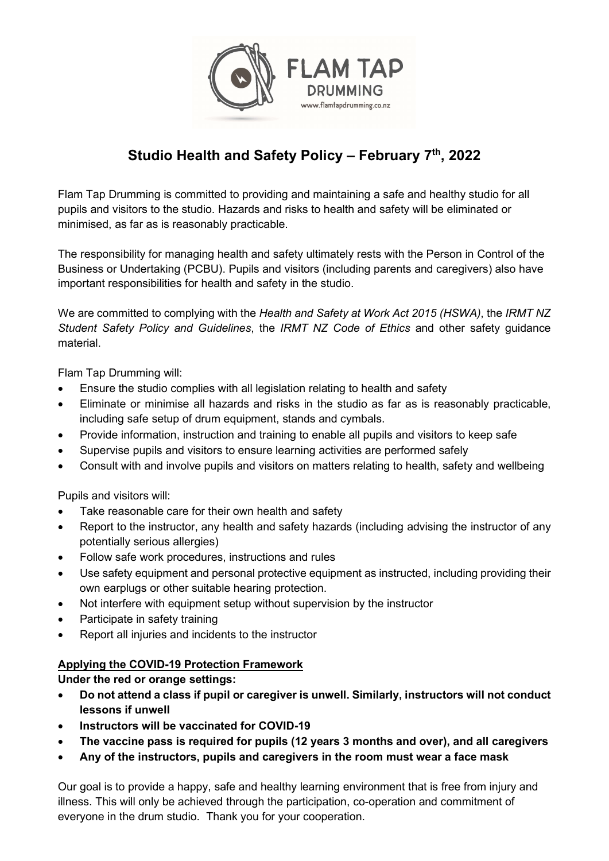

## Studio Health and Safety Policy – February  $7<sup>th</sup>$ , 2022

Flam Tap Drumming is committed to providing and maintaining a safe and healthy studio for all pupils and visitors to the studio. Hazards and risks to health and safety will be eliminated or minimised, as far as is reasonably practicable.

The responsibility for managing health and safety ultimately rests with the Person in Control of the Business or Undertaking (PCBU). Pupils and visitors (including parents and caregivers) also have important responsibilities for health and safety in the studio.

We are committed to complying with the Health and Safety at Work Act 2015 (HSWA), the IRMT NZ Student Safety Policy and Guidelines, the IRMT NZ Code of Ethics and other safety guidance material.

Flam Tap Drumming will:

- Ensure the studio complies with all legislation relating to health and safety
- Eliminate or minimise all hazards and risks in the studio as far as is reasonably practicable, including safe setup of drum equipment, stands and cymbals.
- Provide information, instruction and training to enable all pupils and visitors to keep safe
- Supervise pupils and visitors to ensure learning activities are performed safely
- Consult with and involve pupils and visitors on matters relating to health, safety and wellbeing

Pupils and visitors will:

- Take reasonable care for their own health and safety
- Report to the instructor, any health and safety hazards (including advising the instructor of any potentially serious allergies)
- Follow safe work procedures, instructions and rules
- Use safety equipment and personal protective equipment as instructed, including providing their own earplugs or other suitable hearing protection.
- Not interfere with equipment setup without supervision by the instructor
- Participate in safety training
- Report all injuries and incidents to the instructor

## Applying the COVID-19 Protection Framework

Under the red or orange settings:

- Do not attend a class if pupil or caregiver is unwell. Similarly, instructors will not conduct lessons if unwell
- Instructors will be vaccinated for COVID-19
- The vaccine pass is required for pupils (12 years 3 months and over), and all caregivers
- Any of the instructors, pupils and caregivers in the room must wear a face mask

Our goal is to provide a happy, safe and healthy learning environment that is free from injury and illness. This will only be achieved through the participation, co-operation and commitment of everyone in the drum studio. Thank you for your cooperation.